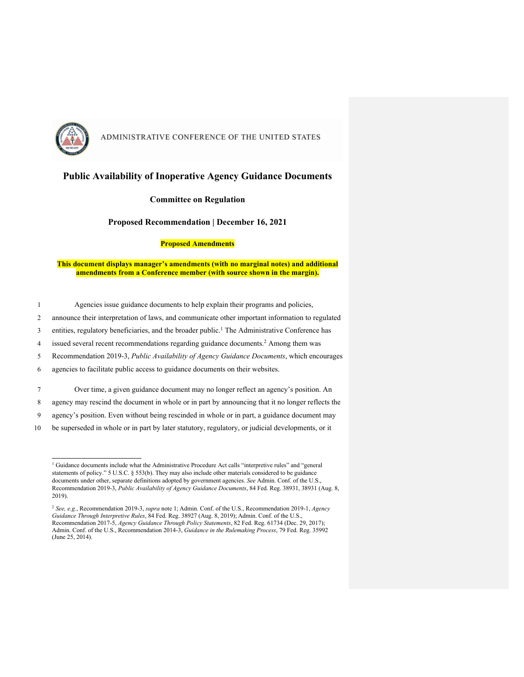

### **Public Availability of Inoperative Agency Guidance Documents**

#### **Committee on Regulation**

#### **Proposed Recommendation | December 16, 2021**

#### **Proposed Amendments**

**This document displays manager's amendments (with no marginal notes) and additional amendments from a Conference member (with source shown in the margin).**

- 1 Agencies issue guidance documents to help explain their programs and policies,
- 2 announce their interpretation of laws, and communicate other important information to regulated
- 3 entities, regulatory beneficiaries, and the broader public.<sup>1</sup> The Administrative Conference has
- 4 issued several recent recommendations regarding guidance documents.<sup>2</sup> Among them was
- 5 Recommendation 2019-3, *Public Availability of Agency Guidance Documents*, which encourages
- 6 agencies to facilitate public access to guidance documents on their websites.

7 Over time, a given guidance document may no longer reflect an agency's position. An

- 8 agency may rescind the document in whole or in part by announcing that it no longer reflects the
- 9 agency's position. Even without being rescinded in whole or in part, a guidance document may
- 10 be superseded in whole or in part by later statutory, regulatory, or judicial developments, or it

<sup>&</sup>lt;sup>1</sup> Guidance documents include what the Administrative Procedure Act calls "interpretive rules" and "general statements of policy." 5 U.S.C. § 553(b). They may also include other materials considered to be guidance documents under other, separate definitions adopted by government agencies. *See* Admin. Conf. of the U.S., Recommendation 2019-3, *Public Availability of Agency Guidance Documents*, 84 Fed. Reg. 38931, 38931 (Aug. 8, 2019).

<sup>2</sup> *See, e.g.*, Recommendation 2019-3, *supra* note 1; Admin. Conf. of the U.S., Recommendation 2019-1, *Agency Guidance Through Interpretive Rules*, 84 Fed. Reg. 38927 (Aug. 8, 2019); Admin. Conf. of the U.S., Recommendation 2017-5, *Agency Guidance Through Policy Statements*, 82 Fed. Reg. 61734 (Dec. 29, 2017); Admin. Conf. of the U.S., Recommendation 2014-3, *Guidance in the Rulemaking Process*, 79 Fed. Reg. 35992 (June 25, 2014).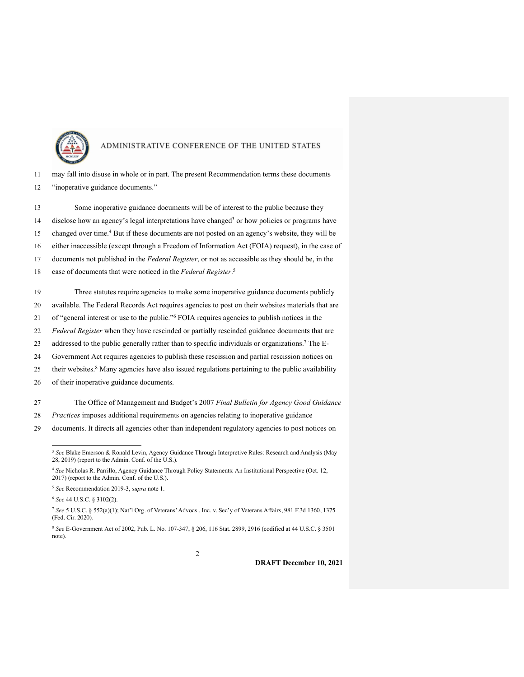

|    | 11 may fall into disuse in whole or in part. The present Recommendation terms these documents |
|----|-----------------------------------------------------------------------------------------------|
| 12 | "inoperative guidance documents."                                                             |

 Some inoperative guidance documents will be of interest to the public because they 14 disclose how an agency's legal interpretations have changed<sup>3</sup> or how policies or programs have 15 changed over time.<sup>4</sup> But if these documents are not posted on an agency's website, they will be either inaccessible (except through a Freedom of Information Act (FOIA) request), in the case of documents not published in the *Federal Register*, or not as accessible as they should be, in the case of documents that were noticed in the *Federal Register*. <sup>5</sup>

Three statutes require agencies to make some inoperative guidance documents publicly

available. The Federal Records Act requires agencies to post on their websites materials that are

21 of "general interest or use to the public."<sup>6</sup> FOIA requires agencies to publish notices in the

*Federal Register* when they have rescinded or partially rescinded guidance documents that are

23 addressed to the public generally rather than to specific individuals or organizations.<sup>7</sup> The E-

Government Act requires agencies to publish these rescission and partial rescission notices on

25 their websites.<sup>8</sup> Many agencies have also issued regulations pertaining to the public availability

of their inoperative guidance documents.

The Office of Management and Budget's 2007 *Final Bulletin for Agency Good Guidance* 

- *Practices* imposes additional requirements on agencies relating to inoperative guidance
- documents. It directs all agencies other than independent regulatory agencies to post notices on

 *See* Blake Emerson & Ronald Levin, Agency Guidance Through Interpretive Rules: Research and Analysis (May 28, 2019) (report to the Admin. Conf. of the U.S.).

 *See* Nicholas R. Parrillo, Agency Guidance Through Policy Statements: An Institutional Perspective (Oct. 12, 2017) (report to the Admin. Conf. of the U.S.).

*See* Recommendation 2019-3, *supra* note 1.

*See* 44 U.S.C. § 3102(2).

 *See* 5 U.S.C. § 552(a)(1); Nat'l Org. of Veterans' Advocs., Inc. v. Sec'y of Veterans Affairs, 981 F.3d 1360, 1375 (Fed. Cir. 2020).

 *See* E-Government Act of 2002, Pub. L. No. 107-347, § 206, 116 Stat. 2899, 2916 (codified at 44 U.S.C. § 3501 note).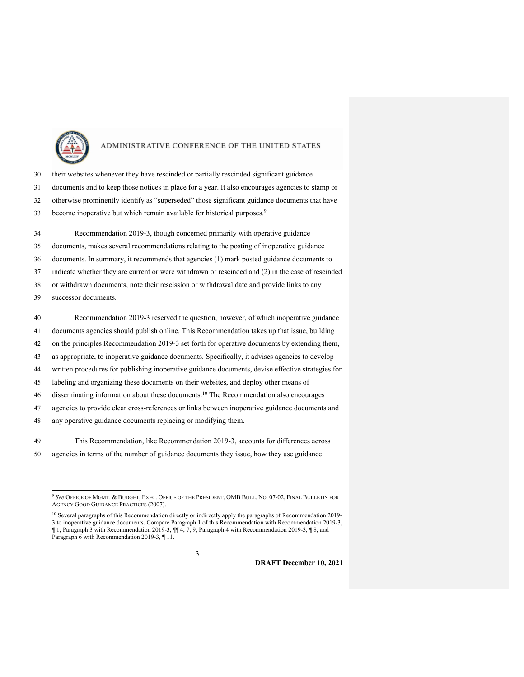

- their websites whenever they have rescinded or partially rescinded significant guidance documents and to keep those notices in place for a year. It also encourages agencies to stamp or otherwise prominently identify as "superseded" those significant guidance documents that have 33 become inoperative but which remain available for historical purposes.<sup>9</sup>
- Recommendation 2019-3, though concerned primarily with operative guidance documents, makes several recommendations relating to the posting of inoperative guidance documents. In summary, it recommends that agencies (1) mark posted guidance documents to indicate whether they are current or were withdrawn or rescinded and (2) in the case of rescinded or withdrawn documents, note their rescission or withdrawal date and provide links to any successor documents.
- Recommendation 2019-3 reserved the question, however, of which inoperative guidance documents agencies should publish online. This Recommendation takes up that issue, building on the principles Recommendation 2019-3 set forth for operative documents by extending them, as appropriate, to inoperative guidance documents. Specifically, it advises agencies to develop written procedures for publishing inoperative guidance documents, devise effective strategies for labeling and organizing these documents on their websites, and deploy other means of disseminating information about these documents.<sup>10</sup> The Recommendation also encourages agencies to provide clear cross-references or links between inoperative guidance documents and any operative guidance documents replacing or modifying them.
- This Recommendation, like Recommendation 2019-3, accounts for differences across agencies in terms of the number of guidance documents they issue, how they use guidance

<sup>10</sup> Several paragraphs of this Recommendation directly or indirectly apply the paragraphs of Recommendation 2019- to inoperative guidance documents. Compare Paragraph 1 of this Recommendation with Recommendation 2019-3, ¶ 1; Paragraph 3 with Recommendation 2019-3, ¶¶ 4, 7, 9; Paragraph 4 with Recommendation 2019-3, ¶ 8; and Paragraph 6 with Recommendation 2019-3, ¶ 11.

 *See* OFFICE OF MGMT. & BUDGET, EXEC. OFFICE OF THE PRESIDENT, OMB BULL. NO. 07-02, FINAL BULLETIN FOR AGENCY GOOD GUIDANCE PRACTICES (2007).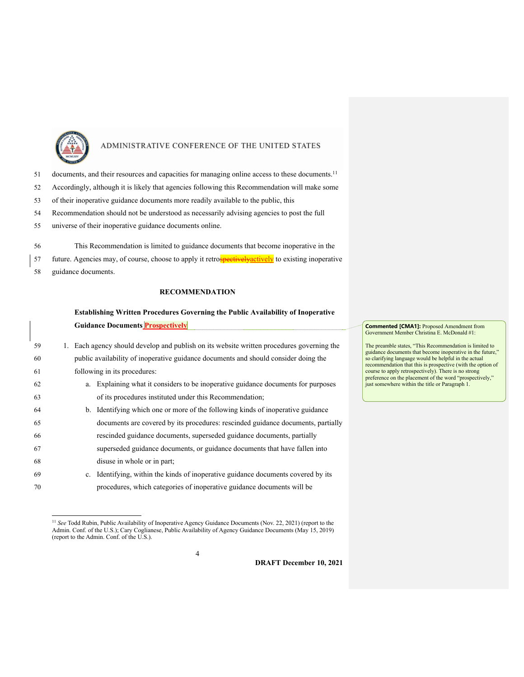

- 51 documents, and their resources and capacities for managing online access to these documents.<sup>11</sup>
- 52 Accordingly, although it is likely that agencies following this Recommendation will make some
- 53 of their inoperative guidance documents more readily available to the public, this
- 54 Recommendation should not be understood as necessarily advising agencies to post the full
- 55 universe of their inoperative guidance documents online.
- 56 This Recommendation is limited to guidance documents that become inoperative in the

57 future. Agencies may, of course, choose to apply it retrospectively actively to existing inoperative

58 guidance documents.

### **RECOMMENDATION**

## **Establishing Written Procedures Governing the Public Availability of Inoperative Guidance Documents Prospectively**

| 59 |  | 1. Each agency should develop and publish on its website written procedures governing the |
|----|--|-------------------------------------------------------------------------------------------|
| 60 |  | public availability of inoperative guidance documents and should consider doing the       |
| 61 |  | following in its procedures:                                                              |
| 62 |  | a. Explaining what it considers to be inoperative guidance documents for purposes         |
| 63 |  | of its procedures instituted under this Recommendation;                                   |
| 64 |  | b. Identifying which one or more of the following kinds of inoperative guidance           |
| 65 |  | documents are covered by its procedures: rescinded guidance documents, partially          |
| 66 |  | rescinded guidance documents, superseded guidance documents, partially                    |
| 67 |  | superseded guidance documents, or guidance documents that have fallen into                |
| 68 |  | disuse in whole or in part;                                                               |
| 69 |  | c. Identifying, within the kinds of inoperative guidance documents covered by its         |
| 70 |  | procedures, which categories of inoperative guidance documents will be                    |

<sup>&</sup>lt;sup>11</sup> See Todd Rubin, Public Availability of Inoperative Agency Guidance Documents (Nov. 22, 2021) (report to the Admin. Conf. of the U.S.); Cary Coglianese, Public Availability of Agency Guidance Documents (May 15, 2019) (report to the Admin. Conf. of the U.S.).

4

**Commented [CMA1]:** Proposed Amendment from Government Member Christina E. McDonald #1:

The preamble states, "This Recommendation is limited to guidance documents that become inoperative in the future," so clarifying language would be helpful in the actual recommendation that this is prospective (with the option of course to apply retrospectively). There is no strong preference on the placement of the word "prospectively," just somewhere within the title or Paragraph 1.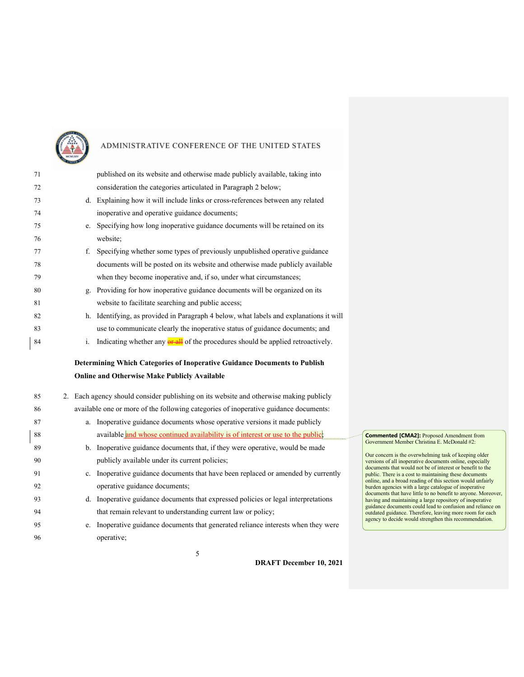

| 71 |    | published on its website and otherwise made publicly available, taking into             |
|----|----|-----------------------------------------------------------------------------------------|
| 72 |    | consideration the categories articulated in Paragraph 2 below;                          |
| 73 |    | d. Explaining how it will include links or cross-references between any related         |
| 74 |    | inoperative and operative guidance documents;                                           |
| 75 |    | e. Specifying how long inoperative guidance documents will be retained on its           |
| 76 |    | website;                                                                                |
| 77 | f. | Specifying whether some types of previously unpublished operative guidance              |
| 78 |    | documents will be posted on its website and otherwise made publicly available           |
| 79 |    | when they become inoperative and, if so, under what circumstances;                      |
| 80 |    | g. Providing for how inoperative guidance documents will be organized on its            |
| 81 |    | website to facilitate searching and public access;                                      |
| 82 |    | h. Identifying, as provided in Paragraph 4 below, what labels and explanations it will  |
| 83 |    | use to communicate clearly the inoperative status of guidance documents; and            |
| 84 | i. | Indicating whether any <b>or all</b> of the procedures should be applied retroactively. |
|    |    | Determining Which Categories of Inoperative Guidance Documents to Publish               |
|    |    | <b>Online and Otherwise Make Publicly Available</b>                                     |
| 85 |    | 2. Each agency should consider publishing on its website and otherwise making publicly  |
| 86 |    | available one or more of the following categories of inoperative guidance documents:    |
| 87 | a. | Inoperative guidance documents whose operative versions it made publicly                |
| 88 |    | available and whose continued availability is of interest or use to the public;         |
| 89 |    | b. Inoperative guidance documents that, if they were operative, would be made           |
| 90 |    | publicly available under its current policies;                                          |
| 91 |    | c. Inoperative guidance documents that have been replaced or amended by currently       |
| 92 |    | operative guidance documents;                                                           |
| 93 |    | d. Inoperative guidance documents that expressed policies or legal interpretations      |
| 94 |    | that remain relevant to understanding current law or policy;                            |
| 95 | e. | Inoperative guidance documents that generated reliance interests when they were         |
| 96 |    | operative;                                                                              |

**DRAFT December 10, 2021**

**Commented [CMA2]:** Proposed Amendment from Government Member Christina E. McDonald #2:

Our concern is the overwhelming task of keeping older versions of all inoperative documents online, especially documents that would not be of interest or benefit to the public. There is a cost to maintaining these documents online, and a broad reading of this section would unfairly burden agencies with a large catalogue of inoperative documents that have little to no benefit to anyone. Moreover, having and maintaining a large repository of inoperative<br>guidance documents could lead to confusion and reliance on<br>outdated guidance. Therefore, leaving more room for each<br>agency to decide would strengthen this recommenda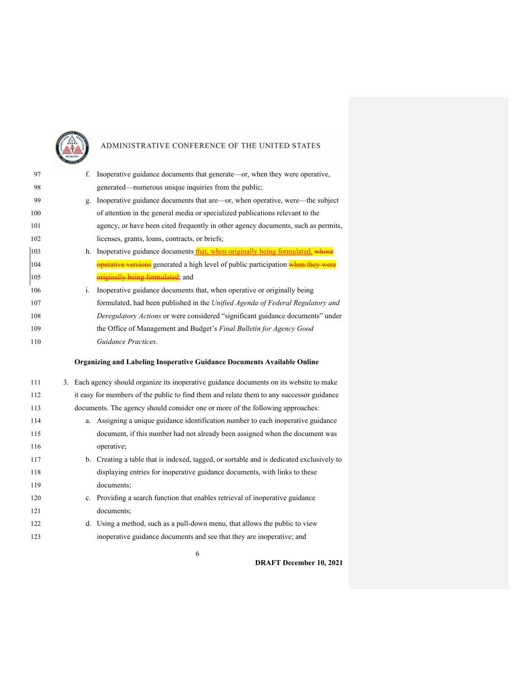

| 97  | f. Inoperative guidance documents that generate—or, when they were operative,            |
|-----|------------------------------------------------------------------------------------------|
| 98  | generated—numerous unique inquiries from the public;                                     |
| 99  | g. Inoperative guidance documents that are—or, when operative, were—the subject          |
| 100 | of attention in the general media or specialized publications relevant to the            |
| 101 | agency, or have been cited frequently in other agency documents, such as permits,        |
| 102 | licenses, grants, loans, contracts, or briefs;                                           |
| 103 | h. Inoperative guidance documents that, when originally being formulated, whose          |
| 104 | operative versions generated a high level of public participation when they were         |
| 105 | originally being formulated; and                                                         |
| 106 | i. Inoperative guidance documents that, when operative or originally being               |
| 107 | formulated, had been published in the Unified Agenda of Federal Regulatory and           |
| 108 | Deregulatory Actions or were considered "significant guidance documents" under           |
| 109 | the Office of Management and Budget's Final Bulletin for Agency Good                     |
| 110 | Guidance Practices.                                                                      |
|     | Organizing and Labeling Inoperative Guidance Documents Available Online                  |
| 111 | 3. Each agency should organize its inoperative guidance documents on its website to make |
| 112 | it easy for members of the public to find them and relate them to any successor guidance |
| 113 |                                                                                          |
|     | documents. The agency should consider one or more of the following approaches:           |
| 114 | a. Assigning a unique guidance identification number to each inoperative guidance        |
| 115 | document, if this number had not already been assigned when the document was             |
| 116 | operative;                                                                               |
| 117 | b. Creating a table that is indexed, tagged, or sortable and is dedicated exclusively to |
| 118 | displaying entries for inoperative guidance documents, with links to these               |
| 119 | documents;                                                                               |
| 120 | c. Providing a search function that enables retrieval of inoperative guidance            |
| 121 | documents;                                                                               |
| 122 | d. Using a method, such as a pull-down menu, that allows the public to view              |
| 123 | inoperative guidance documents and see that they are inoperative; and                    |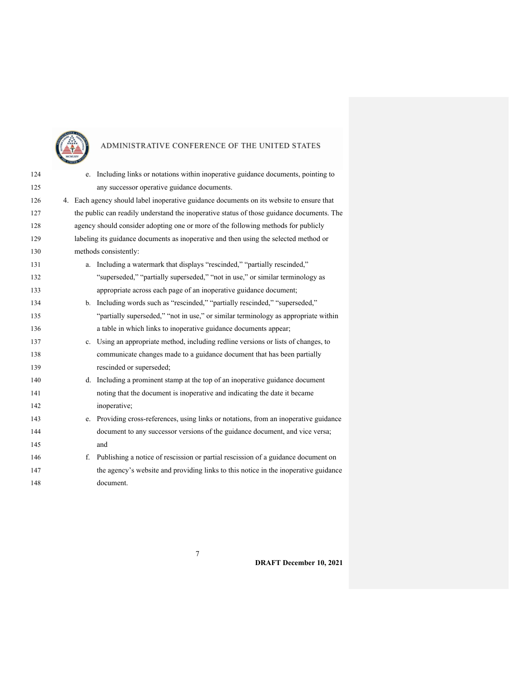

| 124 |  | e. Including links or notations within inoperative guidance documents, pointing to        |
|-----|--|-------------------------------------------------------------------------------------------|
| 125 |  | any successor operative guidance documents.                                               |
| 126 |  | 4. Each agency should label inoperative guidance documents on its website to ensure that  |
| 127 |  | the public can readily understand the inoperative status of those guidance documents. The |
| 128 |  | agency should consider adopting one or more of the following methods for publicly         |
| 129 |  | labeling its guidance documents as inoperative and then using the selected method or      |
| 130 |  | methods consistently:                                                                     |
| 131 |  | a. Including a watermark that displays "rescinded," "partially rescinded,"                |
| 132 |  | "superseded," "partially superseded," "not in use," or similar terminology as             |
| 133 |  | appropriate across each page of an inoperative guidance document;                         |
| 134 |  | b. Including words such as "rescinded," "partially rescinded," "superseded,"              |
| 135 |  | "partially superseded," "not in use," or similar terminology as appropriate within        |
| 136 |  | a table in which links to inoperative guidance documents appear;                          |
| 137 |  | c. Using an appropriate method, including redline versions or lists of changes, to        |
| 138 |  | communicate changes made to a guidance document that has been partially                   |
| 139 |  | rescinded or superseded;                                                                  |
| 140 |  | d. Including a prominent stamp at the top of an inoperative guidance document             |
| 141 |  | noting that the document is inoperative and indicating the date it became                 |
| 142 |  | inoperative;                                                                              |
| 143 |  | e. Providing cross-references, using links or notations, from an inoperative guidance     |
| 144 |  | document to any successor versions of the guidance document, and vice versa;              |
| 145 |  | and                                                                                       |
| 146 |  | f. Publishing a notice of rescission or partial rescission of a guidance document on      |
| 147 |  | the agency's website and providing links to this notice in the inoperative guidance       |
| 148 |  | document.                                                                                 |